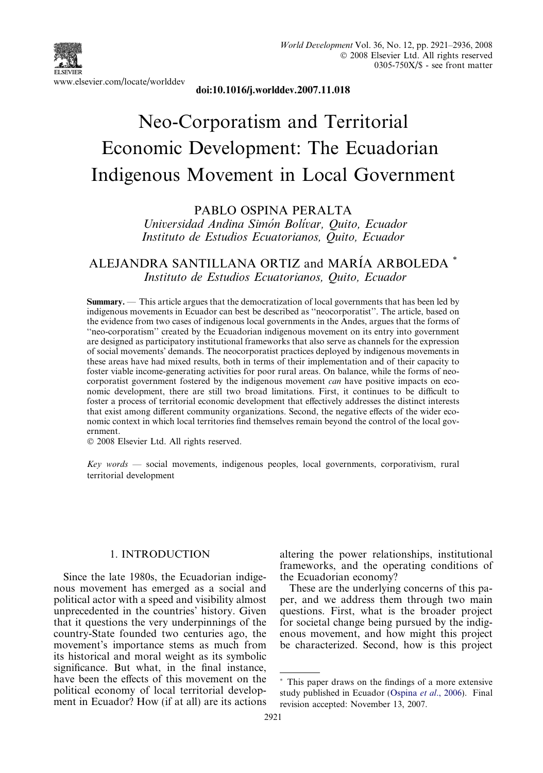www.elsevier.com/locate/worlddev

doi:10.1016/j.worlddev.2007.11.018

# Neo-Corporatism and Territorial Economic Development: The Ecuadorian Indigenous Movement in Local Government

### PABLO OSPINA PERALTA

Universidad Andina Simón Bolívar, Quito, Ecuador Instituto de Estudios Ecuatorianos, Quito, Ecuador

## ALEJANDRA SANTILLANA ORTIZ and MARÍA ARBOLEDA<sup>\*</sup> Instituto de Estudios Ecuatorianos, Quito, Ecuador

Summary. — This article argues that the democratization of local governments that has been led by indigenous movements in Ecuador can best be described as ''neocorporatist''. The article, based on the evidence from two cases of indigenous local governments in the Andes, argues that the forms of ''neo-corporatism'' created by the Ecuadorian indigenous movement on its entry into government are designed as participatory institutional frameworks that also serve as channels for the expression of social movements' demands. The neocorporatist practices deployed by indigenous movements in these areas have had mixed results, both in terms of their implementation and of their capacity to foster viable income-generating activities for poor rural areas. On balance, while the forms of neocorporatist government fostered by the indigenous movement can have positive impacts on economic development, there are still two broad limitations. First, it continues to be difficult to foster a process of territorial economic development that effectively addresses the distinct interests that exist among different community organizations. Second, the negative effects of the wider economic context in which local territories find themselves remain beyond the control of the local government.

 $© 2008 Elsevier Ltd. All rights reserved.$ 

Key words — social movements, indigenous peoples, local governments, corporativism, rural territorial development

#### 1. INTRODUCTION

Since the late 1980s, the Ecuadorian indigenous movement has emerged as a social and political actor with a speed and visibility almost unprecedented in the countries' history. Given that it questions the very underpinnings of the country-State founded two centuries ago, the movement's importance stems as much from its historical and moral weight as its symbolic significance. But what, in the final instance, have been the effects of this movement on the political economy of local territorial development in Ecuador? How (if at all) are its actions

altering the power relationships, institutional frameworks, and the operating conditions of the Ecuadorian economy?

These are the underlying concerns of this paper, and we address them through two main questions. First, what is the broader project for societal change being pursued by the indigenous movement, and how might this project be characterized. Second, how is this project

<sup>-</sup> This paper draws on the findings of a more extensive study published in Ecuador ([Ospina](#page--1-0) et al., 2006). Final revision accepted: November 13, 2007.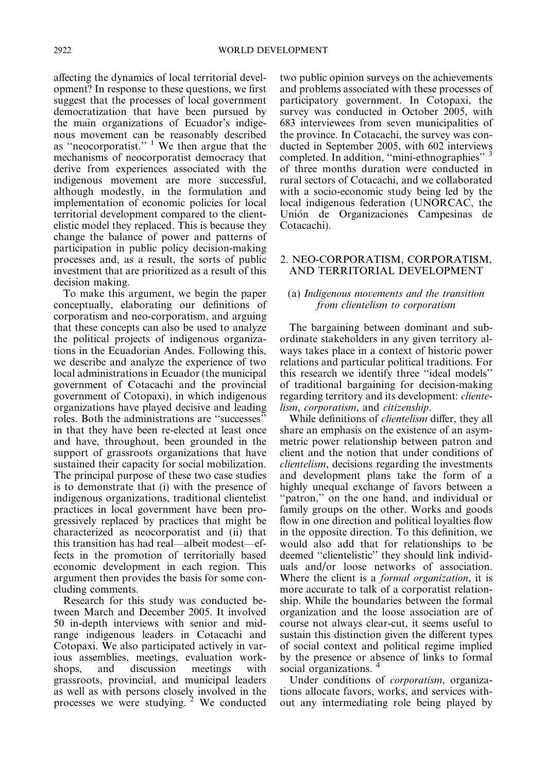affecting the dynamics of local territorial development? In response to these questions, we first suggest that the processes of local government democratization that have been pursued by the main organizations of Ecuador's indigenous movement can be reasonably described as "neocorporatist." <sup>1</sup> We then argue that the mechanisms of neocorporatist democracy that derive from experiences associated with the indigenous movement are more successful, although modestly, in the formulation and implementation of economic policies for local territorial development compared to the clientelistic model they replaced. This is because they change the balance of power and patterns of participation in public policy decision-making processes and, as a result, the sorts of public investment that are prioritized as a result of this decision making.

To make this argument, we begin the paper conceptually, elaborating our definitions of corporatism and neo-corporatism, and arguing that these concepts can also be used to analyze the political projects of indigenous organizations in the Ecuadorian Andes. Following this, we describe and analyze the experience of two local administrations in Ecuador (the municipal government of Cotacachi and the provincial government of Cotopaxi), in which indigenous organizations have played decisive and leading roles. Both the administrations are ''successes'' in that they have been re-elected at least once and have, throughout, been grounded in the support of grassroots organizations that have sustained their capacity for social mobilization. The principal purpose of these two case studies is to demonstrate that (i) with the presence of indigenous organizations, traditional clientelist practices in local government have been progressively replaced by practices that might be characterized as neocorporatist and (ii) that this transition has had real—albeit modest—effects in the promotion of territorially based economic development in each region. This argument then provides the basis for some concluding comments.

Research for this study was conducted between March and December 2005. It involved 50 in-depth interviews with senior and midrange indigenous leaders in Cotacachi and Cotopaxi. We also participated actively in various assemblies, meetings, evaluation workshops, and discussion meetings with grassroots, provincial, and municipal leaders as well as with persons closely involved in the processes we were studying.  $2$  We conducted two public opinion surveys on the achievements and problems associated with these processes of participatory government. In Cotopaxi, the survey was conducted in October 2005, with 683 interviewees from seven municipalities of the province. In Cotacachi, the survey was conducted in September 2005, with 602 interviews completed. In addition, "mini-ethnographies" 3 of three months duration were conducted in rural sectors of Cotacachi, and we collaborated with a socio-economic study being led by the local indigenous federation (UNORCAC, the Unión de Organizaciones Campesinas de Cotacachi).

#### 2. NEO-CORPORATISM, CORPORATISM, AND TERRITORIAL DEVELOPMENT

#### (a) Indigenous movements and the transition from clientelism to corporatism

The bargaining between dominant and subordinate stakeholders in any given territory always takes place in a context of historic power relations and particular political traditions. For this research we identify three ''ideal models'' of traditional bargaining for decision-making regarding territory and its development: clientelism, corporatism, and citizenship.

While definitions of *clientelism* differ, they all share an emphasis on the existence of an asymmetric power relationship between patron and client and the notion that under conditions of clientelism, decisions regarding the investments and development plans take the form of a highly unequal exchange of favors between a "patron," on the one hand, and individual or family groups on the other. Works and goods flow in one direction and political loyalties flow in the opposite direction. To this definition, we would also add that for relationships to be deemed ''clientelistic'' they should link individuals and/or loose networks of association. Where the client is a *formal organization*, it is more accurate to talk of a corporatist relationship. While the boundaries between the formal organization and the loose association are of course not always clear-cut, it seems useful to sustain this distinction given the different types of social context and political regime implied by the presence or absence of links to formal social organizations.

Under conditions of corporatism, organizations allocate favors, works, and services without any intermediating role being played by